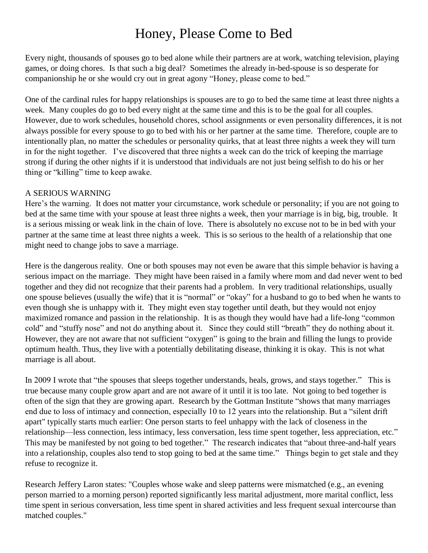## Honey, Please Come to Bed

Every night, thousands of spouses go to bed alone while their partners are at work, watching television, playing games, or doing chores. Is that such a big deal? Sometimes the already in-bed-spouse is so desperate for companionship he or she would cry out in great agony "Honey, please come to bed."

One of the cardinal rules for happy relationships is spouses are to go to bed the same time at least three nights a week. Many couples do go to bed every night at the same time and this is to be the goal for all couples. However, due to work schedules, household chores, school assignments or even personality differences, it is not always possible for every spouse to go to bed with his or her partner at the same time. Therefore, couple are to intentionally plan, no matter the schedules or personality quirks, that at least three nights a week they will turn in for the night together. I've discovered that three nights a week can do the trick of keeping the marriage strong if during the other nights if it is understood that individuals are not just being selfish to do his or her thing or "killing" time to keep awake.

## A SERIOUS WARNING

Here's the warning. It does not matter your circumstance, work schedule or personality; if you are not going to bed at the same time with your spouse at least three nights a week, then your marriage is in big, big, trouble. It is a serious missing or weak link in the chain of love. There is absolutely no excuse not to be in bed with your partner at the same time at least three nights a week. This is so serious to the health of a relationship that one might need to change jobs to save a marriage.

Here is the dangerous reality. One or both spouses may not even be aware that this simple behavior is having a serious impact on the marriage. They might have been raised in a family where mom and dad never went to bed together and they did not recognize that their parents had a problem. In very traditional relationships, usually one spouse believes (usually the wife) that it is "normal" or "okay" for a husband to go to bed when he wants to even though she is unhappy with it. They might even stay together until death, but they would not enjoy maximized romance and passion in the relationship. It is as though they would have had a life-long "common cold" and "stuffy nose" and not do anything about it. Since they could still "breath" they do nothing about it. However, they are not aware that not sufficient "oxygen" is going to the brain and filling the lungs to provide optimum health. Thus, they live with a potentially debilitating disease, thinking it is okay. This is not what marriage is all about.

In 2009 I wrote that "the spouses that sleeps together understands, heals, grows, and stays together." This is true because many couple grow apart and are not aware of it until it is too late. Not going to bed together is often of the sign that they are growing apart. Research by the Gottman Institute "shows that many marriages end due to loss of intimacy and connection, especially 10 to 12 years into the relationship. But a "silent drift apart" typically starts much earlier: One person starts to feel unhappy with the lack of closeness in the relationship—less connection, less intimacy, less conversation, less time spent together, less appreciation, etc." This may be manifested by not going to bed together." The research indicates that "about three-and-half years into a relationship, couples also tend to stop going to bed at the same time." Things begin to get stale and they refuse to recognize it.

Research Jeffery Laron states: "Couples whose wake and sleep patterns were mismatched (e.g., an evening person married to a morning person) reported significantly less marital adjustment, more marital conflict, less time spent in serious conversation, less time spent in shared activities and less frequent sexual intercourse than matched couples."